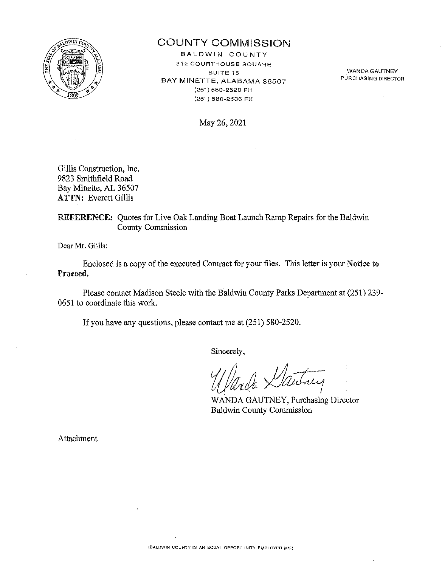

# COUNTY COMMISSION

BALDWIN COUNTY 312 COURTHOUSE SQUARE SUITE 15 BAY MINETTE, ALABAMA 36507 (251) 580-2520 PH (25-1) 580-2536 FX

WANDA GAUTNEY **PUHCHASING DIRECTOR** 

May 26, 2021

Gillis Construction, Inc. 9823 Smithfield Road Bay Minette, AL 36507 ATTN: Everett Gillis

REFERENCE: Quotes for Live Oak Landing Boat Launch Ramp Repairs for the Baldwin County Commission

Dear Mr. Gillis:

Enclosed is a copy of the executed Contract for your files. This letter is your Notice to Proceed.

Please contact Madison Steele with the Baldwin County Parks Department at (251) 239- 0651 to coordinate this work.

If you have any questions, please contact me at (251) 580-2520.

Sincerely,

*i(/lhla* JJa~1

WANDA GAUTNEY, Purchasing Director Baldwin County Commission

Attachment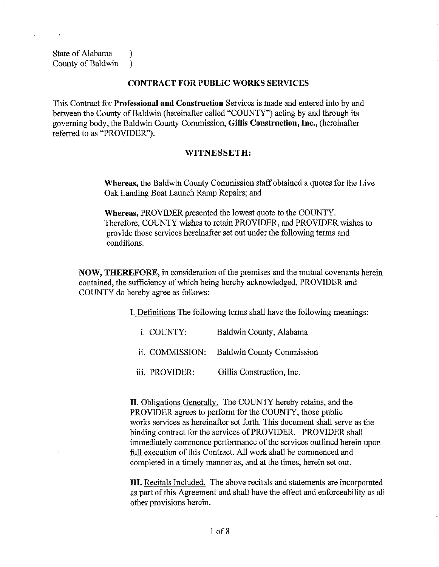State of Alabama (b) County of Baldwin )

## **CONTRACT FOR PUBLIC WORKS SERVICES**

This Contract for **Professional and Construction** Services is made and entered into by and between the County of Baldwin (hereinafter called "COUNTY") acting by and through its governing body, the Baldwin County Commission, **Gillis Construction, Inc.,** (hereinafter referred to as "PROVIDER").

## **WITNESSETH:**

**Whereas,** the Baldwin County Commission staff obtained a quotes for the Live Oak Landing Boat Launch Ramp Repairs; and

**Whereas,** PROVIDER presented the lowest quote to the COUNTY. Therefore, COUNTY wishes to retain PROVIDER, and PROVIDER wishes to provide those services hereinafter set out under the following terms and conditions.

**NOW, THEREFORE,** in consideration of the premises and the mutual covenants herein contained, the sufficiency of which being hereby acknowledged, PROVIDER and COUNTY do hereby agree as follows:

I. Definitions The following terms shall have the following meanings:

| i COUNTY:       | Baldwin County, Alabama          |
|-----------------|----------------------------------|
| ii. COMMISSION: | <b>Baldwin County Commission</b> |
| iii. PROVIDER:  | Gillis Construction, Inc.        |

**II.** Obligations Generally. The COUNTY hereby retains, and the PROVIDER agrees to perform for the COUNTY, those public works services as hereinafter set forth. This document shall serve as the binding contract for the services of PROVIDER. PROVIDER shall innnediately commence performance of the services outlined herein upon full execution of this Contract. All work shall be commenced and completed in a timely manner as, and at the times, herein set out.

**III.** Recitals Included. The above recitals and statements are incorporated as part of this Agreement and shall have the effect and enforceability as all other provisions herein.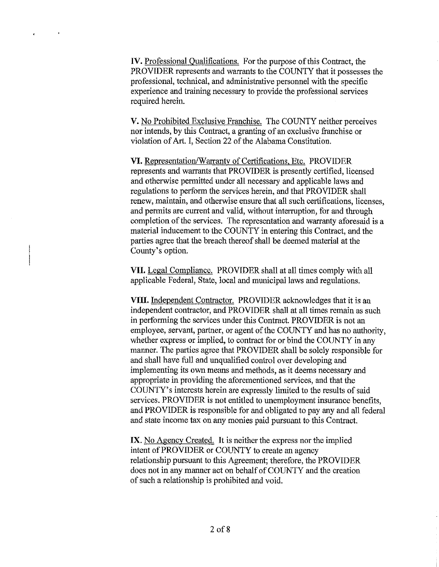IV. Professional Qualifications. For the purpose of this Contract, the PROVIDER represents and warrants to the COUNTY that it possesses the professional, technical, and administrative personnel with the specific experience and training necessary to provide the professional services required herein.

**V.** No Prohibited Exclusive Franchise. The COUNTY neither perceives nor intends, by this Contract, a granting of an exclusive franchise or violation of Art. I, Section 22 of the Alabama Constitution.

**VI.** Representation/Warranty of Certifications, Etc. PROVIDER represents and warrants that PROVIDER is presently certified, licensed and otherwise permitted under all necessary and applicable laws and regulations to perform the services herein, and that PROVIDER shall renew, maintain, and otherwise ensure that all such certifications, licenses, and permits are current and valid, without interruption, for and through completion of the services. The representation and warranty aforesaid is a material inducement to the COUNTY in entering this Contract, and the parties agree that the breach thereof shall be deemed material at the County's option.

**VII.** Legal Compliance. PROVIDER shall at all times comply with all applicable Federal, State, local and municipal laws and regulations.

**VIII.** Independent Contractor. PROVIDER acknowledges that it is an independent contractor, and PROVIDER shall at all times remain as such in performing the services under this Contract. PROVIDER is not an employee, servant, partner, or agent of the COUNTY and has no authority, whether express or implied, to contract for or bind the COUNTY in any manner. The parties agree that PROVIDER shall be solely responsible for and shall have full and unqualified control over developing and implementing its own means and methods, as it deems necessary and appropriate in providing the aforementioned services, and that the COUNTY's interests herein are expressly limited to the results of said services. PROVIDER is not entitled to unemployment insurance benefits, and PROVIDER is responsible for and obligated to pay any and all federal and state income tax on any monies paid pursuant to this Contract.

IX. No Agency Created. It is neither the express nor the implied intent of PROVIDER or COUNTY to create an agency relationship pursuant to this Agreement; therefore, the PROVIDER does not in any manner act on behalf of COUNTY and the creation of such a relationship is prohibited and void.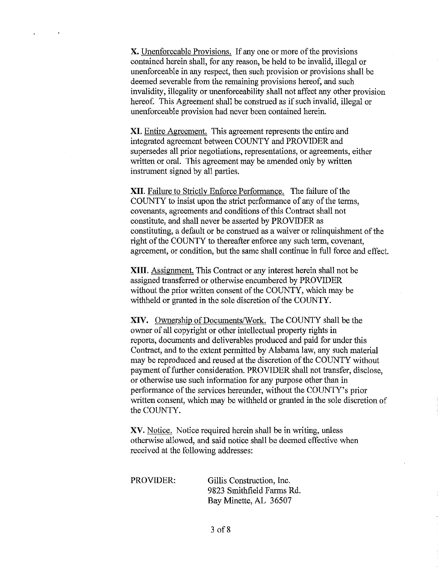X. Unenforceable Provisions. If any one or more of the provisions contained herein shall, for any reason, be held to be invalid, illegal or unenforceable in any respect, then such provision or provisions shall be deemed severable from the remaining provisions hereof, and such invalidity, illegality or unenforceability shall not affect any other provision hereof. This Agreement shall be construed as if such invalid, illegal or unenforceable provision had never been contained herein.

XI. Entire Agreement. This agreement represents the entire and integrated agreement between COUNTY and PROVIDER and supersedes all prior negotiations, representations, or agreements, either written or oral. This agreement may be amended only by written instrument signed by all parties.

XII. Failure to Strictly Enforce Performance. The failure of the COUNTY to insist upon the strict performance of any of the terms, covenants, agreements and conditions of this Contract shall not constitute, and shall never be asserted by PROVIDER as constituting, a default or be construed as a waiver or relinquishment of the right of the COUNTY to thereafter enforce any such term, covenant, agreement, or condition, but the same shall continue in full force and effect.

XIII. Assignment. This Contract or any interest herein shall not be assigned transferred or otherwise encumbered by PROVIDER without the prior written consent of the COUNTY, which may be withheld or granted in the sole discretion of the COUNTY.

XIV. Ownership of Documents/Work. The COUNTY shall be the owner of all copyright or other intellectual property rights in reports, documents and deliverables produced and paid for under this Contract, and to the extent permitted by Alabama law, any such material may be reproduced and reused at the discretion of the COUNTY without payment of further consideration. PROVIDER shall not transfer, disclose, or otherwise use such information for any purpose other than in performance of the services hereunder, without the COUNTY's prior written consent, which may be withheld or granted in the sole discretion of the COUNTY.

XV. Notice. Notice required herein shall be in writing, unless otherwise allowed, and said notice shall be deemed effective when received at the following addresses:

PROVIDER: Gillis Construction, Inc. 9823 Smithfield Farms Rd. Bay Minette, AL 36507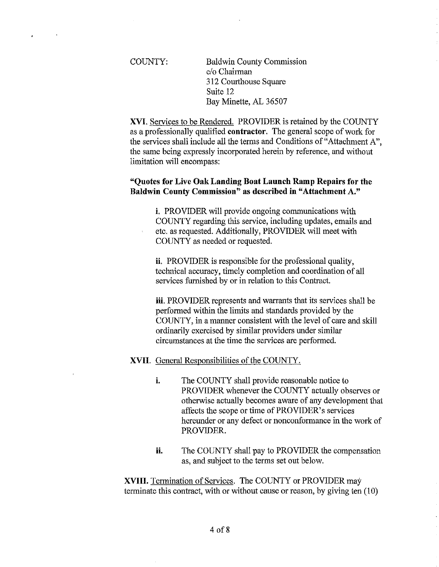COUNTY: Baldwin County Commission c/o Chairman 312 Courthouse Square Suite 12 Bay Minette, AL 36507

**XVI.** Services to be Rendered. PROVIDER is retained by the COUNTY as a professionally qualified **contractor.** The general scope of work for the services shall include all the terms and Conditions of"Attachment A", the same being expressly incorporated herein by reference, and without limitation will encompass:

## **"Quotes for** Live **Oak Landing Boat Launch Ramp Repairs for the Baldwin County Commission" as described in "Attachment** A."

**i.** PROVIDER will provide ongoing communications with COUNTY regarding this service, including updates, emails and etc. as requested. Additionally, PROVIDER will meet with COUNTY as needed or requested.

**ii.** PROVIDER is responsible for the professional quality, technical accuracy, timely completion and coordination of all services furnished by or in relation to this Contract.

**iii.** PROVIDER represents and warrants that its services shall be performed within the limits and standards provided by the COUNTY, in a manner consistent with the level of care and skill ordinarily exercised by similar providers under similar circumstances at the time the services are performed.

## **XVII.** General Responsibilities of the COUNTY.

- i. The COUNTY shall provide reasonable notice to PROVIDER whenever the COUNTY actually observes or otherwise actually becomes aware of any development that affects the scope or time of PROVIDER's services hereunder or any defect or nonconformance in the work of PROVIDER.
- **ii.** The COUNTY shall pay to PROVIDER the compensation as, and subject to the terms set out below.

**XVIII.** Termination of Services. The COUNTY or PROVIDER may terminate this contract, with or without cause or reason, by giving ten (10)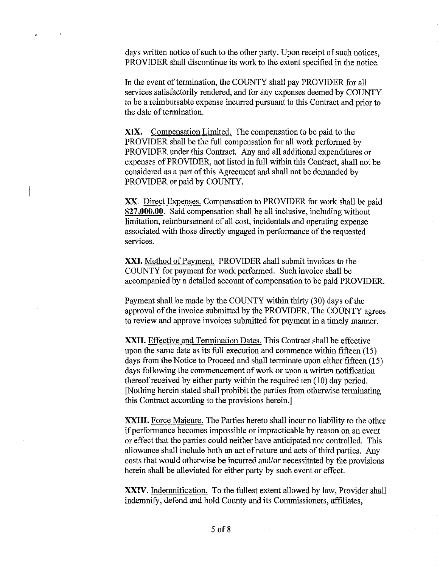days written notice of such to the other party. Upon receipt of such notices, PROVIDER shall discontinue its work to the extent specified in the notice.

In the event of termination, the COUNTY shall pay PROVIDER for all services satisfactorily rendered, and for any expenses deemed by COUNTY to be a reimbursable expense incurred pursuant to this Contract and prior to the date of termination.

XIX. Compensation Limited. The compensation to be paid to the PROVIDER shall be the full compensation for all work performed by PROVIDER under this Contract. Any and all additional expenditures or expenses of PROVIDER, not listed in full within this Contract, shall not be considered as a part of this Agreement and shall not be demanded by PROVIDER or paid by COUNTY.

XX. Direct Expenses. Compensation to PROVIDER for work shall be paid **\$27,000.00.** Said compensation shall be all inclusive, including without limitation, reimbursement of all cost, incidentals and operating expense associated with those directly engaged in performance of the requested services.

**XXI.** Method of Payment. PROVIDER shall submit invoices to the COUNTY for payment for work performed. Such invoice shall be accompanied by a detailed account of compensation to be paid PROVIDER.

Payment shall be made by the COUNTY within thirty (30) days of the approval of the invoice submitted by the PROVIDER. The COUNTY agrees to review and approve invoices submitted for payment in a timely manner.

**XXII.** Effective and Termination Dates. This Contract shall be effective upon the same date as its full execution and commence within fifteen (15) days from the Notice to Proceed and shall terminate upon either fifteen (15) days following the commencement of work or upon a written notification thereof received by either party within the required ten (10) day period. [Nothing herein stated shall prohibit the parties from otherwise terminating this Contract according to the provisions herein.]

**XXIII.** Force Majeure. The Parties hereto shall incur no liability to the other if performance becomes impossible or impracticable by reason on an event or effect that the parties could neither have anticipated nor controlled. This allowance shall include both an act of nature and acts of third parties. Any costs that would otherwise be incurred and/or necessitated by the provisions herein shall be alleviated for either party by such event or effect.

XXIV. Indemnification. To the fullest extent allowed by law, Provider shall indemnify, defend and hold County and its Commissioners, affiliates,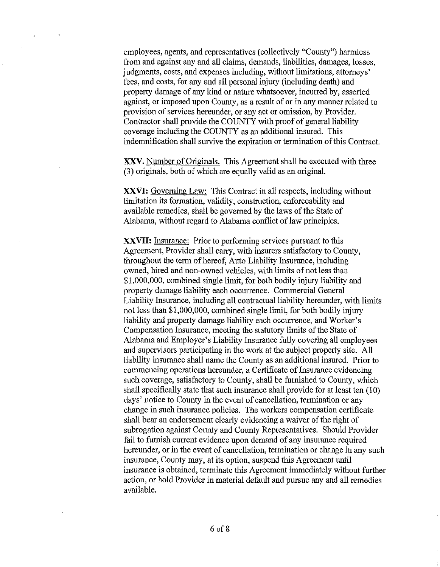employees, agents, and representatives (collectively "County") harmless from and against any and all claims, demands, liabilities, damages, losses, judgments, costs, and expenses including, without limitations, attorneys' fees, and costs, for any and all personal injury (including death) and property damage of any kind or nature whatsoever, incurred by, asserted against, or imposed upon County, as a result of or in any manner related to provision of services hereunder, or any act or omission, by Provider. Contractor shall provide the COUNTY with proof of general liability coverage including the COUNTY as an additional insured. This indemnification shall survive the expiration or termination of this Contract.

XXV. Number of Originals. This Agreement shall be executed with three (3) originals, both of which are equally valid as an original.

**XXVI:** Governing Law: This Contract in all respects, including without limitation its formation, validity, construction, enforceability and available remedies, shall be governed by the laws of the State of Alabama, without regard to Alabama conflict of law principles.

**XXVII:** Insurance: Prior to performing services pursuant to this Agreement, Provider shall carry, with insurers satisfactory to County, throughout the term of hereof, Auto Liability Insurance, including owned, hired and non-owned vehicles, with limits of not less than \$1,000,000, combined single limit, for both bodily injury liability and property damage liability each occurrence. Commercial General Liability Insurance, including all contractual liability hereunder, with limits not less than \$1,000,000, combined single limit, for both bodily injury liability and property damage liability each occurrence, and Worker's Compensation Insurance, meeting the statutory limits of the State of Alabama and Employer's Liability Insurance fully covering all employees and supervisors participating in the work at the subject property site. All liability insurance shall name the County as an additional insured. Prior to commencing operations hereunder, a Certificate of Insurance evidencing such coverage, satisfactory to County, shall be furnished to County, which shall specifically state that such insurance shall provide for at least ten (10) days' notice to County in the event of cancellation, termination or any change in such insurance policies. The workers compensation certificate shall bear an endorsement clearly evidencing a waiver of the right of subrogation against County and County Representatives. Should Provider fail to furnish current evidence upon demand of any insurance required hereunder, or in the event of cancellation, termination or change in any such insurance, County may, at its option, suspend this Agreement until insurance is obtained, terminate this Agreement immediately without further action, or hold Provider in material default and pursue any and all remedies available.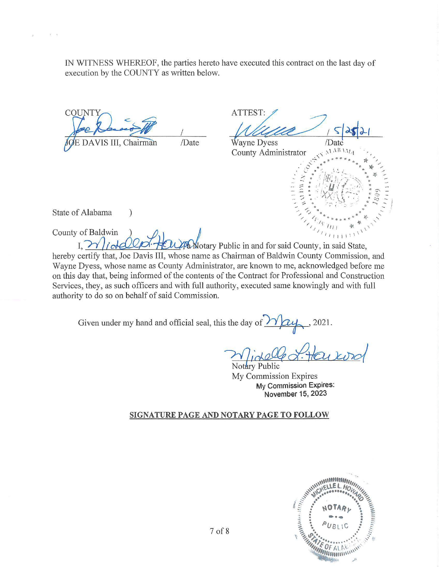IN WITNESS WHEREOF, the parties hereto have executed this contract on the last day of execution by the COUNTY as written below.

**COUNT** /Date DAVIS III, Chairman

 $\mathcal{E}$ 

ATTEST: ayne Dyess Date  $ABAB$ County Administrator

State of Alabama

 $V = 0$ 

County of Baldwin  $I. W$ Motary Public in and for said County, in said State, hereby certify that, Joe Davis III, whose name as Chairman of Baldwin County Commission, and Wayne Dyess, whose name as County Administrator, are known to me, acknowledged before me on this day that, being informed of the contents of the Contract for Professional and Construction Services, they, as such officers and with full authority, executed same knowingly and with full authority to do so on behalf of said Commission.

Given under my hand and official seal, this the day of 2021.

Notary Public My Commission Expires My Commission Expires: November 15, 2023

## SIGNATURE PAGE AND NOTARY PAGE TO FOLLOW

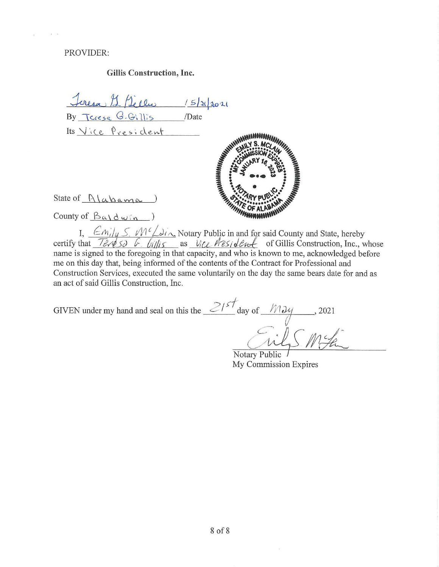PROVIDER:

#### Gillis Construction, Inc.

Jeresa 11 Déclar 15/21/2021<br>By Tarage G. Gillis /Date Its Vice President NASARANDARAS State of  $\frac{\Lambda}{\alpha \alpha m \alpha}$ County of  $\beta_{\alpha}$   $\alpha$   $\beta_{\alpha}$   $\beta_{\alpha}$   $\beta_{\alpha}$ 

I,  $\frac{\mathcal{E}m_i|_{ij} S_i \mathcal{M}^c \mathcal{L} s_i}{\mathcal{E}m_i}$  Notary Public in and for said County and State, hereby<br>certify that  $\frac{\mathcal{E}m_i|_{ij} S_i \mathcal{L} \mathcal{L} \mathcal{L}}{\mathcal{E}m_i}$  as  $\frac{V_i \mathcal{L} \mathcal{L} \mathcal{L} \mathcal{L} \mathcal{L}}{\mathcal{E}m_i}$  of Gillis name is signed to the foregoing in that capacity, and who is known to me, acknowledged before me on this day that, being informed of the contents of the Contract for Professional and Construction Services, executed the same voluntarily on the day the same bears date for and as an act of said Gillis Construction, Inc.

GIVEN under my hand and seal on this the  $\frac{2157}{90}$  day of  $\frac{1034}{125}$ , 2021

Notary Public My Commission Expires